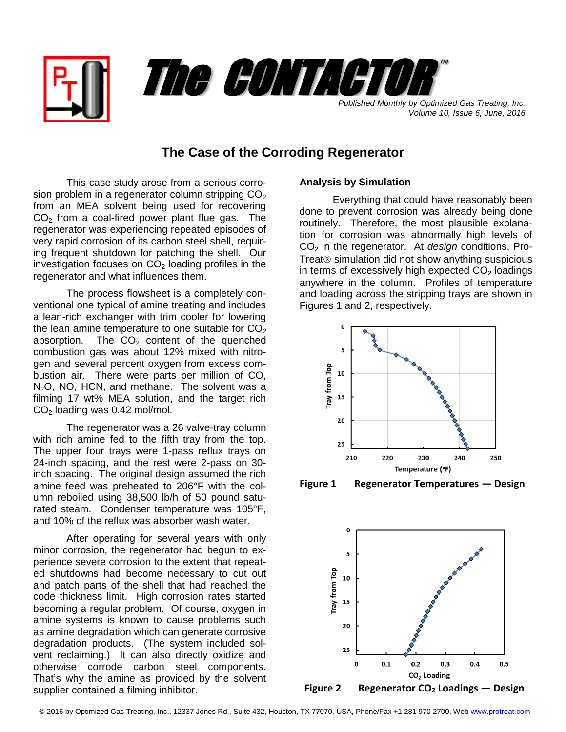



*Volume 10, Issue 6, June, 2016*

## **The Case of the Corroding Regenerator**

This case study arose from a serious corrosion problem in a regenerator column stripping  $CO<sub>2</sub>$ from an MEA solvent being used for recovering  $CO<sub>2</sub>$  from a coal-fired power plant flue gas. The regenerator was experiencing repeated episodes of very rapid corrosion of its carbon steel shell, requiring frequent shutdown for patching the shell. Our investigation focuses on  $CO<sub>2</sub>$  loading profiles in the regenerator and what influences them.

The process flowsheet is a completely conventional one typical of amine treating and includes a lean-rich exchanger with trim cooler for lowering the lean amine temperature to one suitable for  $CO<sub>2</sub>$ absorption. The  $CO<sub>2</sub>$  content of the quenched combustion gas was about 12% mixed with nitrogen and several percent oxygen from excess combustion air. There were parts per million of CO, N<sub>2</sub>O, NO, HCN, and methane. The solvent was a filming 17 wt% MEA solution, and the target rich  $CO<sub>2</sub>$  loading was 0.42 mol/mol.

The regenerator was a 26 valve-tray column with rich amine fed to the fifth tray from the top. The upper four trays were 1-pass reflux trays on 24-inch spacing, and the rest were 2-pass on 30 inch spacing. The original design assumed the rich amine feed was preheated to 206°F with the column reboiled using 38,500 lb/h of 50 pound saturated steam. Condenser temperature was 105°F, and 10% of the reflux was absorber wash water.

After operating for several years with only minor corrosion, the regenerator had begun to experience severe corrosion to the extent that repeated shutdowns had become necessary to cut out and patch parts of the shell that had reached the code thickness limit. High corrosion rates started becoming a regular problem. Of course, oxygen in amine systems is known to cause problems such as amine degradation which can generate corrosive degradation products. (The system included solvent reclaiming.) It can also directly oxidize and otherwise corrode carbon steel components. That's why the amine as provided by the solvent supplier contained a filming inhibitor.

## **Analysis by Simulation**

Everything that could have reasonably been done to prevent corrosion was already being done routinely. Therefore, the most plausible explanation for corrosion was abnormally high levels of CO<sup>2</sup> in the regenerator. At *design* conditions, Pro-Treat $$\otimes$  simulation did not show anything suspicious$ in terms of excessively high expected  $CO<sub>2</sub>$  loadings anywhere in the column. Profiles of temperature and loading across the stripping trays are shown in Figures 1 and 2, respectively.



**Figure 1 Regenerator Temperatures — Design**